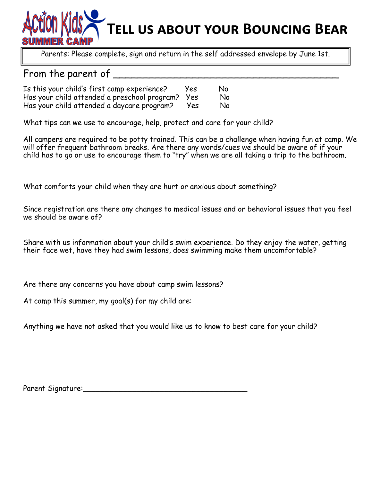## **Tell us about your Bouncing Bear**

Parents: Please complete, sign and return in the self addressed envelope by June 1st.

From the parent of  $\blacksquare$ 

| Is this your child's first camp experience?  | Yes   | No. |
|----------------------------------------------|-------|-----|
| Has your child attended a preschool program? | yes ( | No. |
| Has your child attended a daycare program?   | Yes   | No. |

What tips can we use to encourage, help, protect and care for your child?

All campers are required to be potty trained. This can be a challenge when having fun at camp. We will offer frequent bathroom breaks. Are there any words/cues we should be aware of if your child has to go or use to encourage them to "try" when we are all taking a trip to the bathroom.

What comforts your child when they are hurt or anxious about something?

Since registration are there any changes to medical issues and or behavioral issues that you feel we should be aware of?

Share with us information about your child's swim experience. Do they enjoy the water, getting their face wet, have they had swim lessons, does swimming make them uncomfortable?

Are there any concerns you have about camp swim lessons?

At camp this summer, my goal(s) for my child are:

Anything we have not asked that you would like us to know to best care for your child?

Parent Signature:\_\_\_\_\_\_\_\_\_\_\_\_\_\_\_\_\_\_\_\_\_\_\_\_\_\_\_\_\_\_\_\_\_\_\_\_